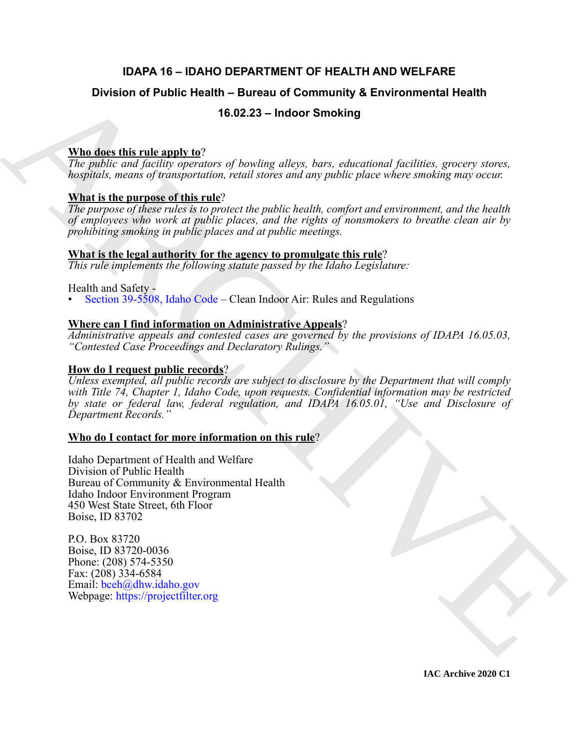# **IDAPA 16 – IDAHO DEPARTMENT OF HEALTH AND WELFARE**

# **Division of Public Health – Bureau of Community & Environmental Health**

# **16.02.23 – Indoor Smoking**

# **Who does this rule apply to**?

*The public and facility operators of bowling alleys, bars, educational facilities, grocery stores, hospitals, means of transportation, retail stores and any public place where smoking may occur.*

# **What is the purpose of this rule**?

*The purpose of these rules is to protect the public health, comfort and environment, and the health of employees who work at public places, and the rights of nonsmokers to breathe clean air by prohibiting smoking in public places and at public meetings.*

# **What is the legal authority for the agency to promulgate this rule**?

*This rule implements the following statute passed by the Idaho Legislature:*

#### Health and Safety -

• Section 39-5508, Idaho Code – Clean Indoor Air: Rules and Regulations

# **Where can I find information on Administrative Appeals**?

*Administrative appeals and contested cases are governed by the provisions of IDAPA 16.05.03, "Contested Case Proceedings and Declaratory Rulings."*

# **How do I request public records**?

Division of Public Health – Bureau of Community & Environmental Health<br>
The gashic usal positive and the shape along the parameterizational positives are even since the gashic and positive means of branching allows and ar *Unless exempted, all public records are subject to disclosure by the Department that will comply with Title 74, Chapter 1, Idaho Code, upon requests. Confidential information may be restricted by state or federal law, federal regulation, and IDAPA 16.05.01, "Use and Disclosure of Department Records."*

### **Who do I contact for more information on this rule**?

Idaho Department of Health and Welfare Division of Public Health Bureau of Community & Environmental Health Idaho Indoor Environment Program 450 West State Street, 6th Floor Boise, ID 83702

P.O. Box 83720 Boise, ID 83720-0036 Phone: (208) 574-5350 Fax: (208) 334-6584 Email: bceh@dhw.idaho.gov Webpage: https://projectfilter.org

**IAC Archive 2020 C1**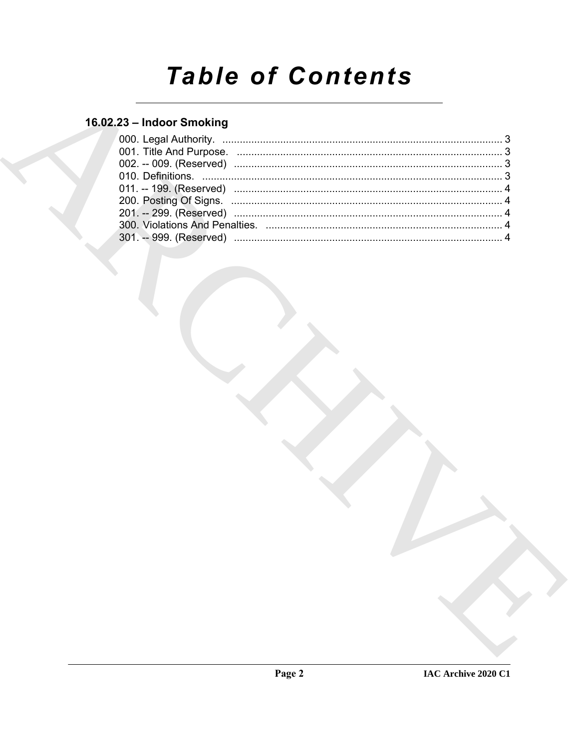# **Table of Contents**

# 16.02.23 - Indoor Smoking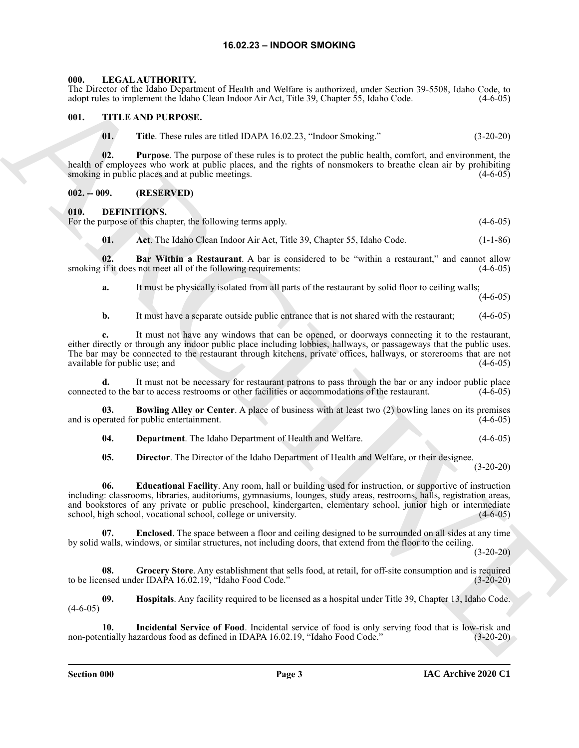#### **16.02.23 – INDOOR SMOKING**

#### <span id="page-2-16"></span><span id="page-2-1"></span><span id="page-2-0"></span>**000. LEGAL AUTHORITY.**

The Director of the Idaho Department of Health and Welfare is authorized, under Section 39-5508, Idaho Code, to adopt rules to implement the Idaho Clean Indoor Air Act, Title 39, Chapter 55, Idaho Code. (4-6-05)

#### <span id="page-2-2"></span>**001. TITLE AND PURPOSE.**

<span id="page-2-17"></span>**01. Title**. These rules are titled IDAPA 16.02.23, "Indoor Smoking." (3-20-20)

**02. Purpose**. The purpose of these rules is to protect the public health, comfort, and environment, the health of employees who work at public places, and the rights of nonsmokers to breathe clean air by prohibiting smoking in public places and at public meetings. (4-6-05)

#### <span id="page-2-3"></span>**002. -- 009. (RESERVED)**

#### <span id="page-2-5"></span><span id="page-2-4"></span>**010. DEFINITIONS.**

For the purpose of this chapter, the following terms apply. (4-6-05)

<span id="page-2-7"></span><span id="page-2-6"></span>**01.** Act. The Idaho Clean Indoor Air Act, Title 39, Chapter 55, Idaho Code. (1-1-86)

**02. Bar Within a Restaurant**. A bar is considered to be "within a restaurant," and cannot allow smoking if it does not meet all of the following requirements: (4-6-05)

**a.** It must be physically isolated from all parts of the restaurant by solid floor to ceiling walls;

 $(4-6-05)$ 

**b.** It must have a separate outside public entrance that is not shared with the restaurant; (4-6-05)

**c.** It must not have any windows that can be opened, or doorways connecting it to the restaurant, either directly or through any indoor public place including lobbies, hallways, or passageways that the public uses. The bar may be connected to the restaurant through kitchens, private offices, hallways, or storerooms that are not available for public use; and (4-6-05)

**d.** It must not be necessary for restaurant patrons to pass through the bar or any indoor public place connected to the bar to access restrooms or other facilities or accommodations of the restaurant. (4-6-05)

**03. Bowling Alley or Center**. A place of business with at least two (2) bowling lanes on its premises and is operated for public entertainment. (4-6-05)

<span id="page-2-9"></span><span id="page-2-8"></span>**04. Department**. The Idaho Department of Health and Welfare. (4-6-05)

<span id="page-2-11"></span><span id="page-2-10"></span>**05. Director**. The Director of the Idaho Department of Health and Welfare, or their designee.

 $(3-20-20)$ 

The Desire of the Mohal Desire and Note that the sequence of the state of the section of the Section 1980 and the Section 1980 and the Section 1980 and the Section 1980 and the Section 1980 and the Section 1980 and the Se **06. Educational Facility**. Any room, hall or building used for instruction, or supportive of instruction including: classrooms, libraries, auditoriums, gymnasiums, lounges, study areas, restrooms, halls, registration areas, and bookstores of any private or public preschool, kindergarten, elementary school, junior high or intermediate school, high school, vocational school, college or university. (4-6-05)

<span id="page-2-12"></span>**07. Enclosed**. The space between a floor and ceiling designed to be surrounded on all sides at any time by solid walls, windows, or similar structures, not including doors, that extend from the floor to the ceiling.

(3-20-20)

<span id="page-2-13"></span>**08. Grocery Store**. Any establishment that sells food, at retail, for off-site consumption and is required to be licensed under IDAPA 16.02.19, "Idaho Food Code." (3-20-20)

<span id="page-2-14"></span>**09. Hospitals**. Any facility required to be licensed as a hospital under Title 39, Chapter 13, Idaho Code.  $(4-6-05)$ 

<span id="page-2-15"></span>**10. Incidental Service of Food**. Incidental service of food is only serving food that is low-risk and non-potentially hazardous food as defined in IDAPA 16.02.19, "Idaho Food Code." (3-20-20)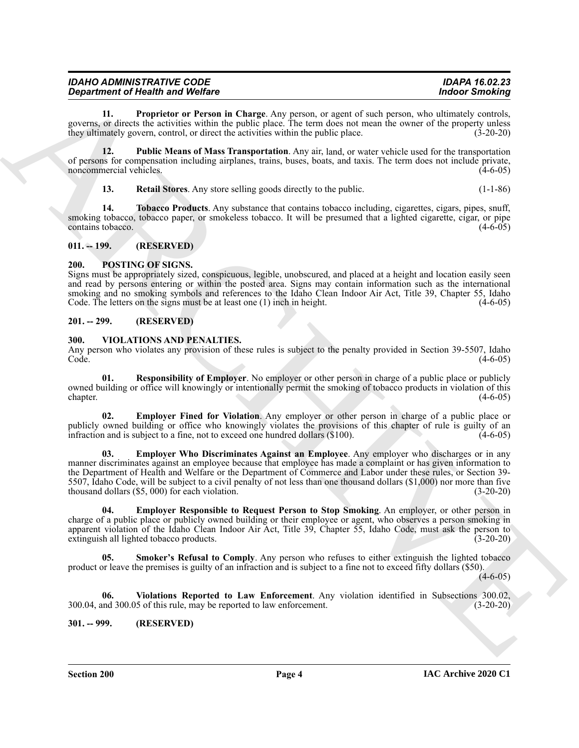| <b>IDAHO ADMINISTRATIVE CODE</b>        | <b>IDAPA 16.02.23</b> |
|-----------------------------------------|-----------------------|
| <b>Department of Health and Welfare</b> | <b>Indoor Smoking</b> |

<span id="page-3-5"></span>**11. Proprietor or Person in Charge**. Any person, or agent of such person, who ultimately controls, governs, or directs the activities within the public place. The term does not mean the owner of the property unless they ultimately govern, control, or direct the activities within the public place. (3-20-20)

**12. Public Means of Mass Transportation**. Any air, land, or water vehicle used for the transportation of persons for compensation including airplanes, trains, buses, boats, and taxis. The term does not include private, noncommercial vehicles.

<span id="page-3-8"></span><span id="page-3-7"></span><span id="page-3-6"></span>**13. Retail Stores**. Any store selling goods directly to the public. (1-1-86)

**14. Tobacco Products**. Any substance that contains tobacco including, cigarettes, cigars, pipes, snuff, smoking tobacco, tobacco paper, or smokeless tobacco. It will be presumed that a lighted cigarette, cigar, or pipe<br>
(4-6-05) contains tobacco.

#### <span id="page-3-0"></span>**011. -- 199. (RESERVED)**

#### <span id="page-3-9"></span><span id="page-3-1"></span>**200. POSTING OF SIGNS.**

Signs must be appropriately sized, conspicuous, legible, unobscured, and placed at a height and location easily seen and read by persons entering or within the posted area. Signs may contain information such as the international smoking and no smoking symbols and references to the Idaho Clean Indoor Air Act, Title 39, Chapter 55, Idaho Code. The letters on the signs must be at least one (1) inch in height. (4-6-05)

#### <span id="page-3-2"></span>**201. -- 299. (RESERVED)**

#### <span id="page-3-10"></span><span id="page-3-3"></span>**300. VIOLATIONS AND PENALTIES.**

Any person who violates any provision of these rules is subject to the penalty provided in Section 39-5507, Idaho Code. (4-6-05)

<span id="page-3-14"></span>**Responsibility of Employer**. No employer or other person in charge of a public place or publicly owned building or office will knowingly or intentionally permit the smoking of tobacco products in violation of this chapter. (4-6-05) chapter. (4-6-05)

<span id="page-3-13"></span><span id="page-3-11"></span>**02. Employer Fined for Violation**. Any employer or other person in charge of a public place or publicly owned building or office who knowingly violates the provisions of this chapter of rule is guilty of an infraction and is subject to a fine, not to exceed one hundred dollars (\$100). (4-6-05) infraction and is subject to a fine, not to exceed one hundred dollars  $(\$100)$ .

**Expansion of Health Works Counter Are proposed to the set of the set of the set of the set of the set of the set of the set of the set of the set of the set of the set of the set of the set of the set of the set of the s 03. Employer Who Discriminates Against an Employee**. Any employer who discharges or in any manner discriminates against an employee because that employee has made a complaint or has given information to the Department of Health and Welfare or the Department of Commerce and Labor under these rules, or Section 39- 5507, Idaho Code, will be subject to a civil penalty of not less than one thousand dollars (\$1,000) nor more than five thousand dollars (\$5, 000) for each violation. (3-20-20)

<span id="page-3-12"></span>**04. Employer Responsible to Request Person to Stop Smoking**. An employer, or other person in charge of a public place or publicly owned building or their employee or agent, who observes a person smoking in apparent violation of the Idaho Clean Indoor Air Act, Title 39, Chapter 55, Idaho Code, must ask the person to extinguish all lighted tobacco products.  $(3-20-20)$ extinguish all lighted tobacco products.

<span id="page-3-15"></span>**Smoker's Refusal to Comply.** Any person who refuses to either extinguish the lighted tobacco product or leave the premises is guilty of an infraction and is subject to a fine not to exceed fifty dollars (\$50).

 $(4-6-05)$ 

<span id="page-3-16"></span>**06. Violations Reported to Law Enforcement**. Any violation identified in Subsections 300.02, 300.04, and 300.05 of this rule, may be reported to law enforcement. (3-20-20)

<span id="page-3-4"></span>**301. -- 999. (RESERVED)**